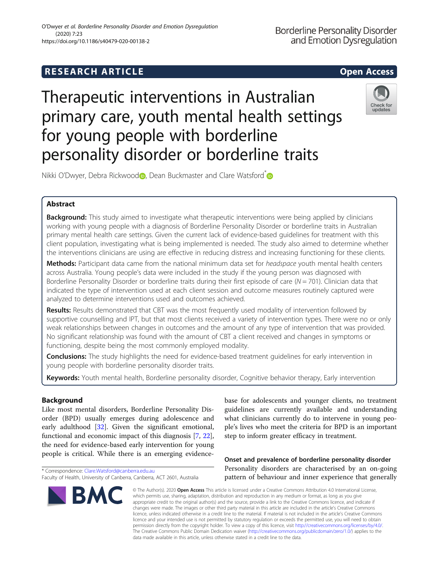# **RESEARCH ARTICLE Example 2014 12:30 The SEAR CH ACCESS**



# Therapeutic interventions in Australian primary care, youth mental health settings for young people with borderline personality disorder or borderline traits



Nikki O'Dwyer[,](https://orcid.org/0000-0002-4227-0231) Debra Rickwood **D**, Dean Buckmaster and Clare Watsford<sup>\*</sup> D

# Abstract

Background: This study aimed to investigate what therapeutic interventions were being applied by clinicians working with young people with a diagnosis of Borderline Personality Disorder or borderline traits in Australian primary mental health care settings. Given the current lack of evidence-based guidelines for treatment with this client population, investigating what is being implemented is needed. The study also aimed to determine whether the interventions clinicians are using are effective in reducing distress and increasing functioning for these clients.

Methods: Participant data came from the national minimum data set for headspace youth mental health centers across Australia. Young people's data were included in the study if the young person was diagnosed with Borderline Personality Disorder or borderline traits during their first episode of care ( $N = 701$ ). Clinician data that indicated the type of intervention used at each client session and outcome measures routinely captured were analyzed to determine interventions used and outcomes achieved.

Results: Results demonstrated that CBT was the most frequently used modality of intervention followed by supportive counselling and IPT, but that most clients received a variety of intervention types. There were no or only weak relationships between changes in outcomes and the amount of any type of intervention that was provided. No significant relationship was found with the amount of CBT a client received and changes in symptoms or functioning, despite being the most commonly employed modality.

**Conclusions:** The study highlights the need for evidence-based treatment guidelines for early intervention in young people with borderline personality disorder traits.

Keywords: Youth mental health, Borderline personality disorder, Cognitive behavior therapy, Early intervention

# Background

Like most mental disorders, Borderline Personality Disorder (BPD) usually emerges during adolescence and early adulthood [[32](#page-8-0)]. Given the significant emotional, functional and economic impact of this diagnosis [\[7](#page-8-0), [22](#page-8-0)], the need for evidence-based early intervention for young people is critical. While there is an emerging evidence-

<sup>\*</sup> Correspondence: [Clare.Watsford@canberra.edu.au](mailto:Clare.Watsford@canberra.edu.au) Faculty of Health, University of Canberra, Canberra, ACT 2601, Australia



base for adolescents and younger clients, no treatment guidelines are currently available and understanding what clinicians currently do to intervene in young people's lives who meet the criteria for BPD is an important step to inform greater efficacy in treatment.

Onset and prevalence of borderline personality disorder Personality disorders are characterised by an on-going pattern of behaviour and inner experience that generally

© The Author(s), 2020 **Open Access** This article is licensed under a Creative Commons Attribution 4.0 International License, which permits use, sharing, adaptation, distribution and reproduction in any medium or format, as long as you give appropriate credit to the original author(s) and the source, provide a link to the Creative Commons licence, and indicate if changes were made. The images or other third party material in this article are included in the article's Creative Commons licence, unless indicated otherwise in a credit line to the material. If material is not included in the article's Creative Commons licence and your intended use is not permitted by statutory regulation or exceeds the permitted use, you will need to obtain permission directly from the copyright holder. To view a copy of this licence, visit [http://creativecommons.org/licenses/by/4.0/.](http://creativecommons.org/licenses/by/4.0/) The Creative Commons Public Domain Dedication waiver [\(http://creativecommons.org/publicdomain/zero/1.0/](http://creativecommons.org/publicdomain/zero/1.0/)) applies to the data made available in this article, unless otherwise stated in a credit line to the data.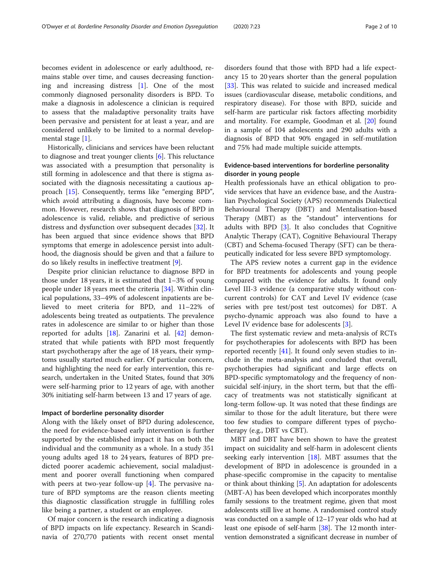becomes evident in adolescence or early adulthood, remains stable over time, and causes decreasing functioning and increasing distress [\[1](#page-8-0)]. One of the most commonly diagnosed personality disorders is BPD. To make a diagnosis in adolescence a clinician is required to assess that the maladaptive personality traits have been pervasive and persistent for at least a year, and are considered unlikely to be limited to a normal developmental stage [\[1](#page-8-0)].

Historically, clinicians and services have been reluctant to diagnose and treat younger clients [\[6](#page-8-0)]. This reluctance was associated with a presumption that personality is still forming in adolescence and that there is stigma associated with the diagnosis necessitating a cautious approach [\[15](#page-8-0)]. Consequently, terms like "emerging BPD", which avoid attributing a diagnosis, have become common. However, research shows that diagnosis of BPD in adolescence is valid, reliable, and predictive of serious distress and dysfunction over subsequent decades [[32\]](#page-8-0). It has been argued that since evidence shows that BPD symptoms that emerge in adolescence persist into adulthood, the diagnosis should be given and that a failure to do so likely results in ineffective treatment [\[9](#page-8-0)].

Despite prior clinician reluctance to diagnose BPD in those under 18 years, it is estimated that 1–3% of young people under 18 years meet the criteria [\[34](#page-8-0)]. Within clinical populations, 33–49% of adolescent inpatients are believed to meet criteria for BPD, and 11–22% of adolescents being treated as outpatients. The prevalence rates in adolescence are similar to or higher than those reported for adults [[18\]](#page-8-0). Zanarini et al. [[42\]](#page-9-0) demonstrated that while patients with BPD most frequently start psychotherapy after the age of 18 years, their symptoms usually started much earlier. Of particular concern, and highlighting the need for early intervention, this research, undertaken in the United States, found that 30% were self-harming prior to 12 years of age, with another 30% initiating self-harm between 13 and 17 years of age.

#### Impact of borderline personality disorder

Along with the likely onset of BPD during adolescence, the need for evidence-based early intervention is further supported by the established impact it has on both the individual and the community as a whole. In a study 351 young adults aged 18 to 24 years, features of BPD predicted poorer academic achievement, social maladjustment and poorer overall functioning when compared with peers at two-year follow-up [\[4](#page-8-0)]. The pervasive nature of BPD symptoms are the reason clients meeting this diagnostic classification struggle in fulfilling roles like being a partner, a student or an employee.

Of major concern is the research indicating a diagnosis of BPD impacts on life expectancy. Research in Scandinavia of 270,770 patients with recent onset mental

disorders found that those with BPD had a life expectancy 15 to 20 years shorter than the general population [[33\]](#page-8-0). This was related to suicide and increased medical issues (cardiovascular disease, metabolic conditions, and respiratory disease). For those with BPD, suicide and self-harm are particular risk factors affecting morbidity and mortality. For example, Goodman et al. [[20](#page-8-0)] found in a sample of 104 adolescents and 290 adults with a diagnosis of BPD that 90% engaged in self-mutilation and 75% had made multiple suicide attempts.

# Evidence-based interventions for borderline personality disorder in young people

Health professionals have an ethical obligation to provide services that have an evidence base, and the Australian Psychological Society (APS) recommends Dialectical Behavioural Therapy (DBT) and Mentalisation-based Therapy (MBT) as the "standout" interventions for adults with BPD [\[3](#page-8-0)]. It also concludes that Cognitive Analytic Therapy (CAT), Cognitive Behavioural Therapy (CBT) and Schema-focused Therapy (SFT) can be therapeutically indicated for less severe BPD symptomology.

The APS review notes a current gap in the evidence for BPD treatments for adolescents and young people compared with the evidence for adults. It found only Level III-3 evidence (a comparative study without concurrent controls) for CAT and Level IV evidence (case series with pre test/post test outcomes) for DBT. A psycho-dynamic approach was also found to have a Level IV evidence base for adolescents [\[3](#page-8-0)].

The first systematic review and meta-analysis of RCTs for psychotherapies for adolescents with BPD has been reported recently  $[41]$  $[41]$ . It found only seven studies to include in the meta-analysis and concluded that overall, psychotherapies had significant and large effects on BPD-specific symptomatology and the frequency of nonsuicidal self-injury, in the short term, but that the efficacy of treatments was not statistically significant at long-term follow-up. It was noted that these findings are similar to those for the adult literature, but there were too few studies to compare different types of psychotherapy (e.g., DBT vs CBT).

MBT and DBT have been shown to have the greatest impact on suicidality and self-harm in adolescent clients seeking early intervention  $[18]$ . MBT assumes that the development of BPD in adolescence is grounded in a phase-specific compromise in the capacity to mentalise or think about thinking [\[5](#page-8-0)]. An adaptation for adolescents (MBT-A) has been developed which incorporates monthly family sessions to the treatment regime, given that most adolescents still live at home. A randomised control study was conducted on a sample of 12–17 year olds who had at least one episode of self-harm [[38](#page-9-0)]. The 12 month intervention demonstrated a significant decrease in number of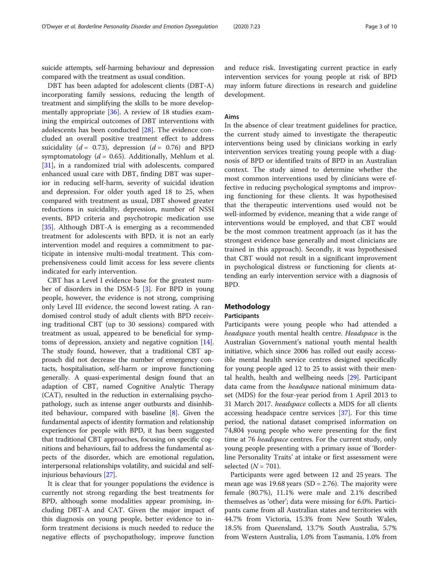suicide attempts, self-harming behaviour and depression compared with the treatment as usual condition.

DBT has been adapted for adolescent clients (DBT-A) incorporating family sessions, reducing the length of treatment and simplifying the skills to be more developmentally appropriate [\[36\]](#page-9-0). A review of 18 studies examining the empirical outcomes of DBT interventions with adolescents has been conducted [\[28](#page-8-0)]. The evidence concluded an overall positive treatment effect to address suicidality ( $d = 0.73$ ), depression ( $d = 0.76$ ) and BPD symptomatology ( $d = 0.65$ ). Additionally, Mehlum et al. [[31\]](#page-8-0), in a randomized trial with adolescents, compared enhanced usual care with DBT, finding DBT was superior in reducing self-harm, severity of suicidal ideation and depression. For older youth aged 18 to 25, when compared with treatment as usual, DBT showed greater reductions in suicidality, depression, number of NSSI events, BPD criteria and psychotropic medication use [[35\]](#page-9-0). Although DBT-A is emerging as a recommended treatment for adolescents with BPD, it is not an early intervention model and requires a commitment to participate in intensive multi-modal treatment. This comprehensiveness could limit access for less severe clients indicated for early intervention.

CBT has a Level I evidence base for the greatest number of disorders in the DSM-5 [[3\]](#page-8-0). For BPD in young people, however, the evidence is not strong, comprising only Level III evidence, the second lowest rating. A randomised control study of adult clients with BPD receiving traditional CBT (up to 30 sessions) compared with treatment as usual, appeared to be beneficial for symptoms of depression, anxiety and negative cognition [\[14](#page-8-0)]. The study found, however, that a traditional CBT approach did not decrease the number of emergency contacts, hospitalisation, self-harm or improve functioning generally. A quasi-experimental design found that an adaption of CBT, named Cognitive Analytic Therapy (CAT), resulted in the reduction in externalising psychopathology, such as intense anger outbursts and disinhibited behaviour, compared with baseline [\[8\]](#page-8-0). Given the fundamental aspects of identity formation and relationship experiences for people with BPD, it has been suggested that traditional CBT approaches, focusing on specific cognitions and behaviours, fail to address the fundamental aspects of the disorder, which are emotional regulation, interpersonal relationships volatility, and suicidal and selfinjurious behaviours [[27](#page-8-0)].

It is clear that for younger populations the evidence is currently not strong regarding the best treatments for BPD, although some modalities appear promising, including DBT-A and CAT. Given the major impact of this diagnosis on young people, better evidence to inform treatment decisions is much needed to reduce the negative effects of psychopathology, improve function and reduce risk. Investigating current practice in early intervention services for young people at risk of BPD may inform future directions in research and guideline development.

#### Aims

In the absence of clear treatment guidelines for practice, the current study aimed to investigate the therapeutic interventions being used by clinicians working in early intervention services treating young people with a diagnosis of BPD or identified traits of BPD in an Australian context. The study aimed to determine whether the most common interventions used by clinicians were effective in reducing psychological symptoms and improving functioning for these clients. It was hypothesised that the therapeutic interventions used would not be well-informed by evidence, meaning that a wide range of interventions would be employed, and that CBT would be the most common treatment approach (as it has the strongest evidence base generally and most clinicians are trained in this approach). Secondly, it was hypothesised that CBT would not result in a significant improvement in psychological distress or functioning for clients attending an early intervention service with a diagnosis of BPD.

#### Methodology

#### Participants

Participants were young people who had attended a headspace youth mental health centre. Headspace is the Australian Government's national youth mental health initiative, which since 2006 has rolled out easily accessible mental health service centres designed specifically for young people aged 12 to 25 to assist with their mental health, health and wellbeing needs [\[29](#page-8-0)]. Participant data came from the *headspace* national minimum dataset (MDS) for the four-year period from 1 April 2013 to 31 March 2017. headspace collects a MDS for all clients accessing headspace centre services [[37](#page-9-0)]. For this time period, the national dataset comprised information on 74,804 young people who were presenting for the first time at 76 *headspace* centres. For the current study, only young people presenting with a primary issue of 'Borderline Personality Traits' at intake or first assessment were selected  $(N = 701)$ .

Participants were aged between 12 and 25 years. The mean age was 19.68 years  $(SD = 2.76)$ . The majority were female (80.7%), 11.1% were male and 2.1% described themselves as 'other'; data were missing for 6.0%. Participants came from all Australian states and territories with 44.7% from Victoria, 15.3% from New South Wales, 18.5% from Queensland, 13.7% South Australia, 5.7% from Western Australia, 1.0% from Tasmania, 1.0% from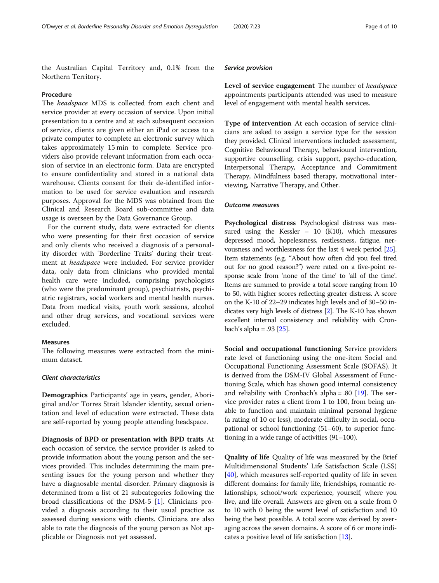the Australian Capital Territory and, 0.1% from the Northern Territory.

#### Procedure

The headspace MDS is collected from each client and service provider at every occasion of service. Upon initial presentation to a centre and at each subsequent occasion of service, clients are given either an iPad or access to a private computer to complete an electronic survey which takes approximately 15 min to complete. Service providers also provide relevant information from each occasion of service in an electronic form. Data are encrypted to ensure confidentiality and stored in a national data warehouse. Clients consent for their de-identified information to be used for service evaluation and research purposes. Approval for the MDS was obtained from the Clinical and Research Board sub-committee and data usage is overseen by the Data Governance Group.

For the current study, data were extracted for clients who were presenting for their first occasion of service and only clients who received a diagnosis of a personality disorder with 'Borderline Traits' during their treatment at headspace were included. For service provider data, only data from clinicians who provided mental health care were included, comprising psychologists (who were the predominant group), psychiatrists, psychiatric registrars, social workers and mental health nurses. Data from medical visits, youth work sessions, alcohol and other drug services, and vocational services were excluded.

# Measures

The following measures were extracted from the minimum dataset.

# Client characteristics

Demographics Participants' age in years, gender, Aboriginal and/or Torres Strait Islander identity, sexual orientation and level of education were extracted. These data are self-reported by young people attending headspace.

Diagnosis of BPD or presentation with BPD traits At each occasion of service, the service provider is asked to provide information about the young person and the services provided. This includes determining the main presenting issues for the young person and whether they have a diagnosable mental disorder. Primary diagnosis is determined from a list of 21 subcategories following the broad classifications of the DSM-5 [\[1\]](#page-8-0). Clinicians provided a diagnosis according to their usual practice as assessed during sessions with clients. Clinicians are also able to rate the diagnosis of the young person as Not applicable or Diagnosis not yet assessed.

#### Service provision

Level of service engagement The number of headspace appointments participants attended was used to measure level of engagement with mental health services.

Type of intervention At each occasion of service clinicians are asked to assign a service type for the session they provided. Clinical interventions included: assessment, Cognitive Behavioural Therapy, behavioural intervention, supportive counselling, crisis support, psycho-education, Interpersonal Therapy, Acceptance and Commitment Therapy, Mindfulness based therapy, motivational interviewing, Narrative Therapy, and Other.

#### Outcome measures

Psychological distress Psychological distress was measured using the Kessler – 10 (K10), which measures depressed mood, hopelessness, restlessness, fatigue, nervousness and worthlessness for the last 4 week period [\[25](#page-8-0)]. Item statements (e.g. "About how often did you feel tired out for no good reason?") were rated on a five-point response scale from 'none of the time' to 'all of the time'. Items are summed to provide a total score ranging from 10 to 50, with higher scores reflecting greater distress. A score on the K-10 of 22–29 indicates high levels and of 30–50 indicates very high levels of distress [\[2\]](#page-8-0). The K-10 has shown excellent internal consistency and reliability with Cronbach's alpha = .93  $[25]$  $[25]$  $[25]$ .

Social and occupational functioning Service providers rate level of functioning using the one-item Social and Occupational Functioning Assessment Scale (SOFAS). It is derived from the DSM-IV Global Assessment of Functioning Scale, which has shown good internal consistency and reliability with Cronbach's alpha = .80  $[19]$  $[19]$  $[19]$ . The service provider rates a client from 1 to 100, from being unable to function and maintain minimal personal hygiene (a rating of 10 or less), moderate difficulty in social, occupational or school functioning (51–60), to superior functioning in a wide range of activities (91–100).

**Quality of life** Quality of life was measured by the Brief Multidimensional Students' Life Satisfaction Scale (LSS) [[40\]](#page-9-0), which measures self-reported quality of life in seven different domains: for family life, friendships, romantic relationships, school/work experience, yourself, where you live, and life overall. Answers are given on a scale from 0 to 10 with 0 being the worst level of satisfaction and 10 being the best possible. A total score was derived by averaging across the seven domains. A score of 6 or more indicates a positive level of life satisfaction [\[13\]](#page-8-0).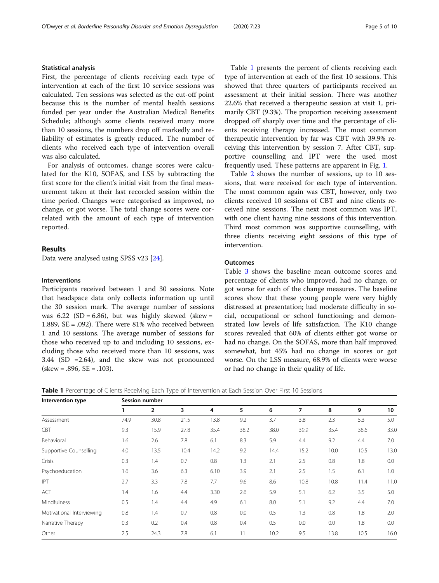#### Statistical analysis

First, the percentage of clients receiving each type of intervention at each of the first 10 service sessions was calculated. Ten sessions was selected as the cut-off point because this is the number of mental health sessions funded per year under the Australian Medical Benefits Schedule; although some clients received many more than 10 sessions, the numbers drop off markedly and reliability of estimates is greatly reduced. The number of clients who received each type of intervention overall was also calculated.

For analysis of outcomes, change scores were calculated for the K10, SOFAS, and LSS by subtracting the first score for the client's initial visit from the final measurement taken at their last recorded session within the time period. Changes were categorised as improved, no change, or got worse. The total change scores were correlated with the amount of each type of intervention reported.

#### Results

Data were analysed using SPSS v23 [\[24\]](#page-8-0).

#### Interventions

Participants received between 1 and 30 sessions. Note that headspace data only collects information up until the 30 session mark. The average number of sessions was  $6.22$  (SD = 6.86), but was highly skewed (skew = 1.889, SE = .092). There were 81% who received between 1 and 10 sessions. The average number of sessions for those who received up to and including 10 sessions, excluding those who received more than 10 sessions, was 3.44 (SD =2.64), and the skew was not pronounced  $(skew = .896, SE = .103)$ .

Table 1 presents the percent of clients receiving each type of intervention at each of the first 10 sessions. This showed that three quarters of participants received an assessment at their initial session. There was another 22.6% that received a therapeutic session at visit 1, primarily CBT (9.3%). The proportion receiving assessment dropped off sharply over time and the percentage of clients receiving therapy increased. The most common therapeutic intervention by far was CBT with 39.9% receiving this intervention by session 7. After CBT, supportive counselling and IPT were the used most frequently used. These patterns are apparent in Fig. [1.](#page-5-0)

Table [2](#page-5-0) shows the number of sessions, up to 10 sessions, that were received for each type of intervention. The most common again was CBT, however, only two clients received 10 sessions of CBT and nine clients received nine sessions. The next most common was IPT, with one client having nine sessions of this intervention. Third most common was supportive counselling, with three clients receiving eight sessions of this type of intervention.

# **Outcomes**

Table [3](#page-5-0) shows the baseline mean outcome scores and percentage of clients who improved, had no change, or got worse for each of the change measures. The baseline scores show that these young people were very highly distressed at presentation; had moderate difficulty in social, occupational or school functioning; and demonstrated low levels of life satisfaction. The K10 change scores revealed that 60% of clients either got worse or had no change. On the SOFAS, more than half improved somewhat, but 45% had no change in scores or got worse. On the LSS measure, 68.9% of clients were worse or had no change in their quality of life.

Table 1 Percentage of Clients Receiving Each Type of Intervention at Each Session Over First 10 Sessions

| Intervention type         | Session number |      |      |      |      |      |      |      |      |      |
|---------------------------|----------------|------|------|------|------|------|------|------|------|------|
|                           |                | 2    | 3    | 4    | 5    | 6    | 7    | 8    | 9    | 10   |
| Assessment                | 74.9           | 30.8 | 21.5 | 13.8 | 9.2  | 3.7  | 3.8  | 2.3  | 5.3  | 5.0  |
| CBT                       | 9.3            | 15.9 | 27.8 | 35.4 | 38.2 | 38.0 | 39.9 | 35.4 | 38.6 | 33.0 |
| Behavioral                | 1.6            | 2.6  | 7.8  | 6.1  | 8.3  | 5.9  | 4.4  | 9.2  | 4.4  | 7.0  |
| Supportive Counselling    | 4.0            | 13.5 | 10.4 | 14.2 | 9.2  | 14.4 | 15.2 | 10.0 | 10.5 | 13.0 |
| Crisis                    | 0.3            | 1.4  | 0.7  | 0.8  | 1.3  | 2.1  | 2.5  | 0.8  | 1.8  | 0.0  |
| Psychoeducation           | 1.6            | 3.6  | 6.3  | 6.10 | 3.9  | 2.1  | 2.5  | 1.5  | 6.1  | 1.0  |
| IPT                       | 2.7            | 3.3  | 7.8  | 7.7  | 9.6  | 8.6  | 10.8 | 10.8 | 11.4 | 11.0 |
| ACT                       | 1.4            | 1.6  | 4.4  | 3.30 | 2.6  | 5.9  | 5.1  | 6.2  | 3.5  | 5.0  |
| Mindfulness               | 0.5            | 1.4  | 4.4  | 4.9  | 6.1  | 8.0  | 5.1  | 9.2  | 4.4  | 7.0  |
| Motivational Interviewing | 0.8            | 1.4  | 0.7  | 0.8  | 0.0  | 0.5  | 1.3  | 0.8  | 1.8  | 2.0  |
| Narrative Therapy         | 0.3            | 0.2  | 0.4  | 0.8  | 0.4  | 0.5  | 0.0  | 0.0  | 1.8  | 0.0  |
| Other                     | 2.5            | 24.3 | 7.8  | 6.1  | 11   | 10.2 | 9.5  | 13.8 | 10.5 | 16.0 |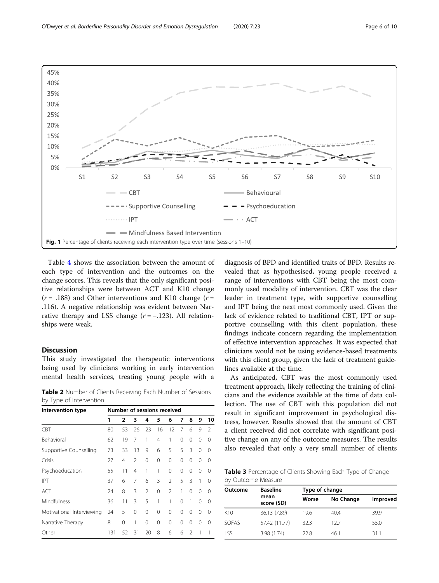<span id="page-5-0"></span>

Table [4](#page-6-0) shows the association between the amount of each type of intervention and the outcomes on the change scores. This reveals that the only significant positive relationships were between ACT and K10 change  $(r = .188)$  and Other interventions and K10 change  $(r = .188)$ .116). A negative relationship was evident between Narrative therapy and LSS change  $(r = -.123)$ . All relationships were weak.

# **Discussion**

This study investigated the therapeutic interventions being used by clinicians working in early intervention mental health services, treating young people with a

Table 2 Number of Clients Receiving Each Number of Sessions by Type of Intervention

| Intervention type         | Number of sessions received |                |                |                |          |                |          |                |          |               |
|---------------------------|-----------------------------|----------------|----------------|----------------|----------|----------------|----------|----------------|----------|---------------|
|                           | 1                           | $\overline{2}$ | 3              | 4              | 5        | 6              | 7        | 8              | 9        | 10            |
| <b>CBT</b>                | 80                          | 53             | 26             | 23             | 16       | 12             | 7        | 6              | 9        | $\mathcal{P}$ |
| <b>Behavioral</b>         | 62                          | 19             | 7              | 1              | 4        | 1              | $\Omega$ | $\Omega$       | $\Omega$ | $\Omega$      |
| Supportive Counselling    | 73                          | 33             | 13             | 9              | 6        | 5              | 5        | 3              | $\Omega$ | $\Omega$      |
| Crisis                    | 27                          | 4              | $\mathfrak{D}$ | 0              | $\Omega$ | 0              | $\Omega$ | 0              | $\Omega$ | $\Omega$      |
| Psychoeducation           | 55                          | 11             | 4              | 1              | 1        | $\Omega$       | $\Omega$ | $\Omega$       | $\Omega$ | $\Omega$      |
| IPT                       | 37                          | 6              | 7              | 6              | 3        | $\mathfrak{D}$ | 5        | 3              | 1        | $\Omega$      |
| ACT                       | 24                          | 8              | 3              | $\mathfrak{D}$ | $\Omega$ | $\mathfrak{D}$ | 1        | $\Omega$       | $\Omega$ | $\Omega$      |
| Mindfulness               | 36                          | 11             | 3              | 5              | 1        | 1              | $\Omega$ | 1              | $\Omega$ | $\cap$        |
| Motivational Interviewing | 24                          | 5              | $\Omega$       | 0              | 0        | 0              | 0        | $\Omega$       | $\Omega$ | $\Omega$      |
| Narrative Therapy         | 8                           | $\Omega$       | 1              | 0              | $\Omega$ | $\Omega$       | $\Omega$ | $\Omega$       | $\Omega$ | $\Omega$      |
| Other                     | 131                         | 52             | 31             | 20             | 8        | 6              | 6        | $\mathfrak{D}$ | 1        | 1             |

diagnosis of BPD and identified traits of BPD. Results revealed that as hypothesised, young people received a range of interventions with CBT being the most commonly used modality of intervention. CBT was the clear leader in treatment type, with supportive counselling and IPT being the next most commonly used. Given the lack of evidence related to traditional CBT, IPT or supportive counselling with this client population, these findings indicate concern regarding the implementation of effective intervention approaches. It was expected that clinicians would not be using evidence-based treatments with this client group, given the lack of treatment guidelines available at the time.

As anticipated, CBT was the most commonly used treatment approach, likely reflecting the training of clinicians and the evidence available at the time of data collection. The use of CBT with this population did not result in significant improvement in psychological distress, however. Results showed that the amount of CBT a client received did not correlate with significant positive change on any of the outcome measures. The results also revealed that only a very small number of clients

Table 3 Percentage of Clients Showing Each Type of Change by Outcome Measure

| Outcome      | <b>Baseline</b>    |       | Type of change |          |  |  |  |  |
|--------------|--------------------|-------|----------------|----------|--|--|--|--|
|              | mean<br>score (SD) | Worse | No Change      | Improved |  |  |  |  |
| K10          | 36.13 (7.89)       | 19.6  | 40.4           | 39.9     |  |  |  |  |
| <b>SOFAS</b> | 57.42 (11.77)      | 32.3  | 127            | 55.0     |  |  |  |  |
| 155          | 3.98 (1.74)        | 22 R  | 46.1           | 311      |  |  |  |  |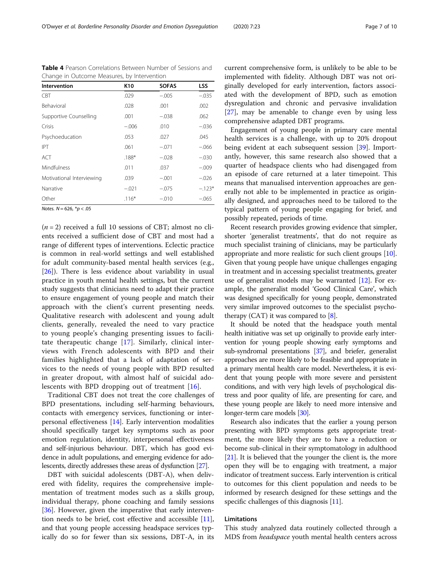Notes.  $N = 626$ , \* $p < .05$ 

 $(n = 2)$  received a full 10 sessions of CBT; almost no clients received a sufficient dose of CBT and most had a range of different types of interventions. Eclectic practice is common in real-world settings and well established for adult community-based mental health services (e.g., [[26\]](#page-8-0)). There is less evidence about variability in usual practice in youth mental health settings, but the current study suggests that clinicians need to adapt their practice to ensure engagement of young people and match their approach with the client's current presenting needs. Qualitative research with adolescent and young adult clients, generally, revealed the need to vary practice to young people's changing presenting issues to facilitate therapeutic change [\[17](#page-8-0)]. Similarly, clinical interviews with French adolescents with BPD and their families highlighted that a lack of adaptation of services to the needs of young people with BPD resulted in greater dropout, with almost half of suicidal adolescents with BPD dropping out of treatment [[16\]](#page-8-0).

Traditional CBT does not treat the core challenges of BPD presentations, including self-harming behaviours, contacts with emergency services, functioning or interpersonal effectiveness [\[14](#page-8-0)]. Early intervention modalities should specifically target key symptoms such as poor emotion regulation, identity, interpersonal effectiveness and self-injurious behaviour. DBT, which has good evidence in adult populations, and emerging evidence for adolescents, directly addresses these areas of dysfunction [\[27\]](#page-8-0).

DBT with suicidal adolescents (DBT-A), when delivered with fidelity, requires the comprehensive implementation of treatment modes such as a skills group, individual therapy, phone coaching and family sessions [[36\]](#page-9-0). However, given the imperative that early intervention needs to be brief, cost effective and accessible [\[11](#page-8-0)], and that young people accessing headspace services typically do so for fewer than six sessions, DBT-A, in its

current comprehensive form, is unlikely to be able to be implemented with fidelity. Although DBT was not originally developed for early intervention, factors associated with the development of BPD, such as emotion dysregulation and chronic and pervasive invalidation [[27\]](#page-8-0), may be amenable to change even by using less comprehensive adapted DBT programs.

Engagement of young people in primary care mental health services is a challenge, with up to 20% dropout being evident at each subsequent session [[39\]](#page-9-0). Importantly, however, this same research also showed that a quarter of headspace clients who had disengaged from an episode of care returned at a later timepoint. This means that manualised intervention approaches are generally not able to be implemented in practice as originally designed, and approaches need to be tailored to the typical pattern of young people engaging for brief, and possibly repeated, periods of time.

Recent research provides growing evidence that simpler, shorter 'generalist treatments', that do not require as much specialist training of clinicians, may be particularly appropriate and more realistic for such client groups [[10](#page-8-0)]. Given that young people have unique challenges engaging in treatment and in accessing specialist treatments, greater use of generalist models may be warranted [[12](#page-8-0)]. For example, the generalist model 'Good Clinical Care', which was designed specifically for young people, demonstrated very similar improved outcomes to the specialist psychotherapy (CAT) it was compared to  $[8]$ .

It should be noted that the headspace youth mental health initiative was set up originally to provide early intervention for young people showing early symptoms and sub-syndromal presentations [[37](#page-9-0)], and briefer, generalist approaches are more likely to be feasible and appropriate in a primary mental health care model. Nevertheless, it is evident that young people with more severe and persistent conditions, and with very high levels of psychological distress and poor quality of life, are presenting for care, and these young people are likely to need more intensive and longer-term care models [[30](#page-8-0)].

Research also indicates that the earlier a young person presenting with BPD symptoms gets appropriate treatment, the more likely they are to have a reduction or become sub-clinical in their symptomatology in adulthood [[21](#page-8-0)]. It is believed that the younger the client is, the more open they will be to engaging with treatment, a major indicator of treatment success. Early intervention is critical to outcomes for this client population and needs to be informed by research designed for these settings and the specific challenges of this diagnosis [\[11](#page-8-0)].

# Limitations

This study analyzed data routinely collected through a MDS from headspace youth mental health centers across

| Intervention           | K <sub>10</sub> | <b>SOFAS</b> | LSS     |  |
|------------------------|-----------------|--------------|---------|--|
| <b>CBT</b>             | .029            | $-.005$      | $-.035$ |  |
| <b>Behavioral</b>      | .028            | .001         | .002    |  |
| Supportive Counselling | .001            | $-.038$      | .062    |  |
| Crisis                 | $-.006$         | .010         | $-.036$ |  |
| Psychoeducation        | .053            | .027         | .045    |  |
| <b>IPT</b>             | .061            | $-.071$      | $-066$  |  |

ACT .188\* −.028 −.030  $Mindfulness$  .011  $0.37 -0.09$ Motivational Interviewing .039 −.001 −.026 Narrative −.021 −.075 −.123\* Other .116\* −.010 −.065

<span id="page-6-0"></span>Table 4 Pearson Correlations Between Number of Sessions and

Change in Outcome Measures, by Intervention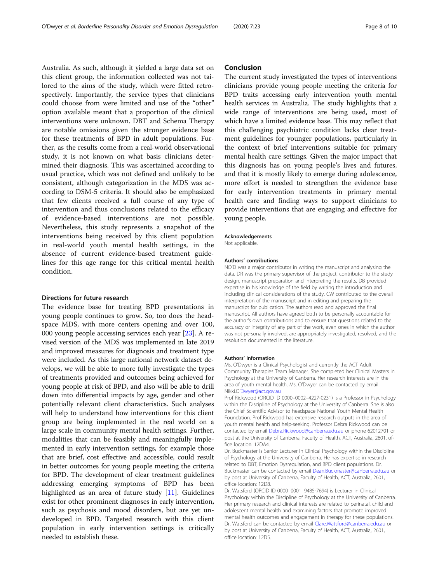Australia. As such, although it yielded a large data set on this client group, the information collected was not tailored to the aims of the study, which were fitted retrospectively. Importantly, the service types that clinicians could choose from were limited and use of the "other" option available meant that a proportion of the clinical interventions were unknown. DBT and Schema Therapy are notable omissions given the stronger evidence base for these treatments of BPD in adult populations. Further, as the results come from a real-world observational study, it is not known on what basis clinicians determined their diagnosis. This was ascertained according to usual practice, which was not defined and unlikely to be consistent, although categorization in the MDS was according to DSM-5 criteria. It should also be emphasized that few clients received a full course of any type of intervention and thus conclusions related to the efficacy of evidence-based interventions are not possible. Nevertheless, this study represents a snapshot of the interventions being received by this client population in real-world youth mental health settings, in the absence of current evidence-based treatment guidelines for this age range for this critical mental health condition.

# Directions for future research

The evidence base for treating BPD presentations in young people continues to grow. So, too does the headspace MDS, with more centers opening and over 100, 000 young people accessing services each year [\[23\]](#page-8-0). A revised version of the MDS was implemented in late 2019 and improved measures for diagnosis and treatment type were included. As this large national network dataset develops, we will be able to more fully investigate the types of treatments provided and outcomes being achieved for young people at risk of BPD, and also will be able to drill down into differential impacts by age, gender and other potentially relevant client characteristics. Such analyses will help to understand how interventions for this client group are being implemented in the real world on a large scale in community mental health settings. Further, modalities that can be feasibly and meaningfully implemented in early intervention settings, for example those that are brief, cost effective and accessible, could result in better outcomes for young people meeting the criteria for BPD. The development of clear treatment guidelines addressing emerging symptoms of BPD has been highlighted as an area of future study [\[11](#page-8-0)]. Guidelines exist for other prominent diagnoses in early intervention, such as psychosis and mood disorders, but are yet undeveloped in BPD. Targeted research with this client population in early intervention settings is critically needed to establish these.

# Conclusion

The current study investigated the types of interventions clinicians provide young people meeting the criteria for BPD traits accessing early intervention youth mental health services in Australia. The study highlights that a wide range of interventions are being used, most of which have a limited evidence base. This may reflect that this challenging psychiatric condition lacks clear treatment guidelines for younger populations, particularly in the context of brief interventions suitable for primary mental health care settings. Given the major impact that this diagnosis has on young people's lives and futures, and that it is mostly likely to emerge during adolescence, more effort is needed to strengthen the evidence base for early intervention treatments in primary mental health care and finding ways to support clinicians to provide interventions that are engaging and effective for young people.

#### Acknowledgements

Not applicable.

#### Authors' contributions

NO'D was a major contributor in writing the manuscript and analysing the data. DR was the primary supervisor of the project, contributor to the study design, manuscript preparation and interpreting the results. DB provided expertise in his knowledge of the field by writing the introduction and including clinical considerations of the study. CW contributed to the overall interpretation of the manuscript and in editing and preparing the manuscript for publication. The authors read and approved the final manuscript. All authors have agreed both to be personally accountable for the author's own contributions and to ensure that questions related to the accuracy or integrity of any part of the work, even ones in which the author was not personally involved, are appropriately investigated, resolved, and the resolution documented in the literature.

#### Authors' information

Ms. O'Dwyer is a Clinical Psychologist and currently the ACT Adult Community Therapies Team Manager. She completed her Clinical Masters in Psychology at the University of Canberra. Her research interests are in the area of youth mental health. Ms. O'Dwyer can be contacted by email Nikki.O'[Dwyer@act.gov.au](mailto:Dwyer@act.gov.au)

Prof Rickwood (ORCID ID 0000–0002–4227-0231) is a Professor in Psychology within the Discipline of Psychology at the University of Canberra. She is also the Chief Scientific Advisor to headspace National Youth Mental Health Foundation. Prof Rickwood has extensive research outputs in the area of youth mental health and help-seeking. Professor Debra Rickwood can be contacted by email [Debra.Rickwood@canberra.edu.au](mailto:Debra.Rickwood@canberra.edu.au) or phone 62012701 or post at the University of Canberra, Faculty of Health, ACT, Australia, 2601, office location: 12DA4.

Dr. Buckmaster is Senior Lecturer in Clinical Psychology within the Discipline of Psychology at the University of Canberra. He has expertise in research related to DBT, Emotion Dysregulation, and BPD client populations. Dr. Buckmaster can be contacted by email [Dean.Buckmaster@canberra.edu.au](mailto:Dean.Buckmaster@canberra.edu.au) or by post at University of Canberra, Faculty of Health, ACT, Australia, 2601, office location: 12D8.

Dr. Watsford (ORCID ID 0000–0001–9485-7694) is Lecturer in Clinical Psychology within the Discipline of Psychology at the University of Canberra. Her primary research and clinical interests are related to perinatal, child and adolescent mental health and examining factors that promote improved mental health outcomes and engagement in therapy for these populations. Dr. Watsford can be contacted by email [Clare.Watsford@canberra.edu.au](mailto:Clare.Watsford@canberra.edu.au) or by post at University of Canberra, Faculty of Health, ACT, Australia, 2601, office location: 12D5.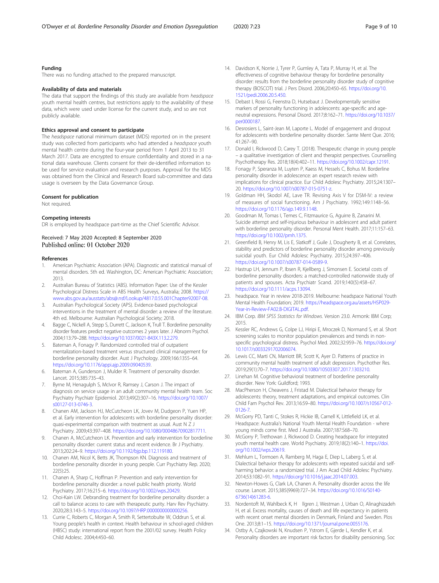#### <span id="page-8-0"></span>Funding

There was no funding attached to the prepared manuscript.

#### Availability of data and materials

The data that support the findings of this study are available from headspace youth mental health centres, but restrictions apply to the availability of these data, which were used under license for the current study, and so are not publicly available.

#### Ethics approval and consent to participate

The headspace national minimum dataset (MDS) reported on in the present study was collected from participants who had attended a headspace youth mental health centre during the four-year period from 1 April 2013 to 31 March 2017. Data are encrypted to ensure confidentiality and stored in a national data warehouse. Clients consent for their de-identified information to be used for service evaluation and research purposes. Approval for the MDS was obtained from the Clinical and Research Board sub-committee and data usage is overseen by the Data Governance Group.

#### Consent for publication

Not required.

#### Competing interests

DR is employed by headspace part-time as the Chief Scientific Advisor.

# Received: 7 May 2020 Accepted: 8 September 2020<br>Published online: 01 October 2020

#### References

- 1. American Psychiatric Association (APA). Diagnostic and statistical manual of mental disorders. 5th ed. Washington, DC: American Psychiatric Association; 2013.
- 2. Australian Bureau of Statistics (ABS). Information Paper: Use of the Kessler Psychological Distress Scale in ABS Health Surveys, Australia; 2008. [https://](https://www.abs.gov.au/ausstats/abs@.nsf/Lookup/4817.0.55.001Chapter92007-08) [www.abs.gov.au/ausstats/abs@.nsf/Lookup/4817.0.55.001Chapter92007-08](https://www.abs.gov.au/ausstats/abs@.nsf/Lookup/4817.0.55.001Chapter92007-08).
- 3. Australian Psychological Society (APS). Evidence-based psychological interventions in the treatment of mental disorder: a review of the literature. 4th ed. Melbourne: Australian Psychological Society; 2018.
- 4. Bagge C, Nickell A, Stepp S, Durrett C, Jackson K, Trull T. Borderline personality disorder features predict negative outcomes 2 years later. J Abnorm Psychol. 2004;113:79–288. [https://doi.org/10.1037/0021-843X.113.2.279.](https://doi.org/10.1037/0021-843X.113.2.279)
- 5. Bateman A, Fonagy P. Randomized controlled trial of outpatient mentalization-based treatment versus structured clinical management for borderline personality disorder. Aust J Psychology. 2009;166:1355–64. <https://doi.org/10.1176/appi.ajp.2009.09040539>.
- 6. Bateman A, Gunderson J, Mulder R. Treatment of personality disorder. Lancet. 2015;385:735–43.
- Byrne M, Henagulph S, McIvor R, Ramsey J, Carson J. The impact of diagnosis on service usage in an adult community mental health team. Soc Psychiatry Psychiatr Epidemiol. 2013;49(2):307–16. [https://doi.org/10.1007/](https://doi.org/10.1007/s00127-013-0746-3) [s00127-013-0746-3.](https://doi.org/10.1007/s00127-013-0746-3)
- 8. Chanen AM, Jackson HJ, McCutcheon LK, Jovev M, Dudgeon P, Yuen HP, et al. Early intervention for adolescents with borderline personality disorder: quasi-experimental comparison with treatment as usual. Aust N Z J Psychiatry. 2009;43:397–408. [https://doi.org/10.1080/00048670902817711.](https://doi.org/10.1080/00048670902817711)
- 9. Chanen A, McCutcheon LK. Prevention and early intervention for borderline personality disorder: current status and recent evidence. Br J Psychiatry. 2013;202:24–9. <https://doi.org/10.1192/bjp.bp.112.119180>.
- 10. Chanen AM, Nicol K, Betts JK, Thompson KN. Diagnosis and treatment of borderline personality disorder in young people. Curr Psychiatry Rep. 2020; 22(5):25.
- 11. Chanen A, Sharp C, Hoffman P. Prevention and early intervention for borderline personality disorder: a novel public health priority. World Psychiatry. 2017;16:215–6. [https://doi.org/10.1002/wps.20429.](https://doi.org/10.1002/wps.20429)
- 12. Choi-Kain LW. Debranding treatment for borderline personality disorder: a call to balance access to care with therapeutic purity. Harv Rev Psychiatry. 2020;28:3.143–5. <https://doi.org/10.1097/HRP.0000000000000256>.
- 13. Currie C, Roberts C, Morgan A, Smith R, Settertobulte W, Oddrun S, et al. Young people's health in context. Health behaviour in school-aged children (HBSC) study: international report from the 2001/02 survey. Health Policy Child Adolesc. 2004;4:450–60.
- 14. Davidson K, Norrie J, Tyrer P, Gumley A, Tata P, Murray H, et al. The effectiveness of cognitive behaviour therapy for borderline personality disorder: results from the borderline personality disorder study of cognitive therapy (BOSCOT) trial. J Pers Disord. 2006;20:450–65. [https://doi.org/10.](https://doi.org/10.1521/pedi.2006.20.5.450) [1521/pedi.2006.20.5.450](https://doi.org/10.1521/pedi.2006.20.5.450).
- 15. Debast I, Rossi G, Feenstra D, Hutsebaut J. Developmentally sensitive markers of personality functioning in adolescents: age-specific and ageneutral expressions. Personal Disord. 2017;8:162–71. [https://doi.org/10.1037/](https://doi.org/10.1037/per0000187) [per0000187.](https://doi.org/10.1037/per0000187)
- 16. Desrosiers L, Saint-Jean M, Laporte L. Model of engagement and dropout for adolescents with borderline personality disorder. Sante Ment Que. 2016; 41:267–90.
- 17. Donald I, Rickwood D, Carey T. (2018). Therapeutic change in young people – a qualitative investigation of client and therapist perspectives. Counselling Psychotherapy Res. 2018;18(4):402–11. [https://doi.org/10.1002/capr.12191.](https://doi.org/10.1002/capr.12191)
- 18. Fonagy P, Speranza M, Luyten P, Kaess M, Hessels C, Bohus M. Borderline personality disorder in adolescence: an expert research review with implications for clinical practice. Eur Child Adolesc Psychiatry. 2015;24:1307– 20. [https://doi.org/10.1007/s00787-015-0751-z.](https://doi.org/10.1007/s00787-015-0751-z)
- 19. Goldman HH, Skodol AE, Lave TR. Revising Axis V for DSM-IV: a review of measures of social functioning. Am J Psychiatry. 1992;149:1148–56. [https://doi.org/10.1176/ajp.149.9.1148.](https://doi.org/10.1176/ajp.149.9.1148)
- 20. Goodman M, Tomas I, Temes C, Fitzmaurice G, Aguirre B, Zanarini M. Suicide attempt and self-injurious behaviour in adolescent and adult patient with borderline personality disorder. Personal Ment Health. 2017;11:157–63. <https://doi.org/10.1002/pmh.1375>.
- 21. Greenfield B, Henry M, Lis E, Slatkoff J, Guile J, Dougherty B, et al. Correlates, stability and predictors of borderline personality disorder among previously suicidal youth. Eur Child Adolesc Psychiatry. 2015;24:397–406. [https://doi.org/10.1007/s00787-014-0589-9.](https://doi.org/10.1007/s00787-014-0589-9)
- 22. Hastrup LH, Jennum P, Ibsen R, Kjellberg J, Simonsen E. Societal costs of borderline personality disorders: a matched-controlled nationwide study of patients and spouses. Acta Psychiatr Scand. 2019;140(5):458–67. [https://doi.org/10.1111/acps.13094.](https://doi.org/10.1111/acps.13094)
- 23. headspace. Year in review 2018-2019. Melbourne: headspace National Youth Mental Health Foundation; 2019. [https://headspace.org.au/assets/HSP029-](https://headspace.org.au/assets/HSP029-Year-in-Review-FA02.B-DIGITAL.pdf) [Year-in-Review-FA02.B-DIGITAL.pdf.](https://headspace.org.au/assets/HSP029-Year-in-Review-FA02.B-DIGITAL.pdf)
- 24. IBM Corp. IBM SPSS Statistics for Windows. Version 23.0. Armonk: IBM Corp; 2015.
- 25. Kessler RC, Andrews G, Colpe LJ, Hiripi E, Mroczek D, Normand S, et al. Short screening scales to monitor population prevalences and trends in nonspecific psychological distress. Psychol Med. 2002;32:959–76. [https://doi.org/](https://doi.org/10.1017/s0033291702006074) [10.1017/s0033291702006074](https://doi.org/10.1017/s0033291702006074).
- 26. Lewis CC, Marti CN, Marriott BR, Scott K, Ayer D. Patterns of practice in community mental health treatment of adult depression. Psychother Res. 2019;29(1):70–7. <https://doi.org/10.1080/10503307.2017.1303210>.
- 27. Linehan M. Cognitive behavioral treatment of borderline personality disorder. New York: Guildford; 1993.
- 28. MacPherson H, Cheavens J, Fristad M. Dialectical behavior therapy for adolescents: theory, treatment adaptations, and empirical outcomes. Clin Child Fam Psychol Rev. 2013;16:59–80. [https://doi.org/10.1007/s10567-012-](https://doi.org/10.1007/s10567-012-0126-7) [0126-7.](https://doi.org/10.1007/s10567-012-0126-7)
- 29. McGorry PD, Tanti C, Stokes R, Hickie IB, Carnell K, Littlefield LK, et al. Headspace: Australia's National Youth Mental Health Foundation - where young minds come first. Med J Australia. 2007;187:S68–70.
- 30. McGorry P, Trethowan J, Rickwood D. Creating headspace for integrated youth mental health care. World Psychiatry. 2019;18(2):140–1. [https://doi.](https://doi.org/10.1002/wps.20619) [org/10.1002/wps.20619.](https://doi.org/10.1002/wps.20619)
- 31. Mehlum L, Tormoen A, Ramberg M, Haga E, Diep L, Laberg S, et al. Dialectical behavior therapy for adolescents with repeated suicidal and selfharming behavior: a randomized trial. J Am Acad Child Adolesc Psychiatry. 2014;53:1082–91. <https://doi.org/10.1016/j.jaac.2014.07.003>.
- 32. Newton-Howes G, Clark LA, Chanen A. Personality disorder across the life course. Lancet. 2015;385(9969):727–34. [https://doi.org/10.1016/S0140-](https://doi.org/10.1016/S0140-6736(14)61283-6) [6736\(14\)61283-6](https://doi.org/10.1016/S0140-6736(14)61283-6).
- 33. Nordentoft M, Wahlbeck K, H llgren J, Westman J, Urban O, Alinaghizadeh H, et al. Excess mortality, causes of death and life expectancy in patients with recent onset mental disorders in Denmark, Finland and Sweden. Plos One. 2013;8:1–15. <https://doi.org/10.1371/journal.pone.0055176>.
- 34. Ostby A, Czajkowski N, Knudsen P, Ystrom E, Gjerde L, Kendler K, et al. Personality disorders are important risk factors for disability pensioning. Soc